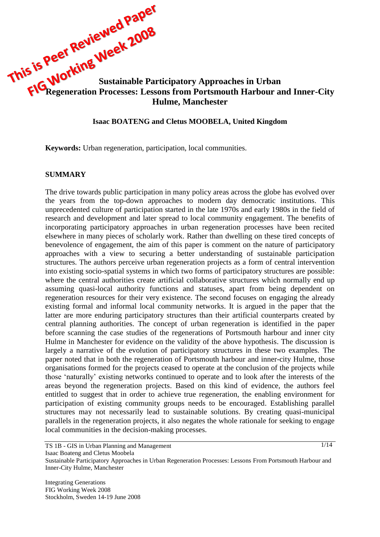**This is Peet In Sustainable Participatory Approaches in Urban FIG Regeneration Processes: Lessons from Portement's Company Regeneration Processes: Lessons from Portsmouth Harbour and Inner-City Hulme, Manchester**

#### **Isaac BOATENG and Cletus MOOBELA, United Kingdom**

**Keywords:** Urban regeneration, participation, local communities.

#### **SUMMARY**

The drive towards public participation in many policy areas across the globe has evolved over the years from the top-down approaches to modern day democratic institutions. This unprecedented culture of participation started in the late 1970s and early 1980s in the field of research and development and later spread to local community engagement. The benefits of incorporating participatory approaches in urban regeneration processes have been recited elsewhere in many pieces of scholarly work. Rather than dwelling on these tired concepts of benevolence of engagement, the aim of this paper is comment on the nature of participatory approaches with a view to securing a better understanding of sustainable participation structures. The authors perceive urban regeneration projects as a form of central intervention into existing socio-spatial systems in which two forms of participatory structures are possible: where the central authorities create artificial collaborative structures which normally end up assuming quasi-local authority functions and statuses, apart from being dependent on regeneration resources for their very existence. The second focuses on engaging the already existing formal and informal local community networks. It is argued in the paper that the latter are more enduring participatory structures than their artificial counterparts created by central planning authorities. The concept of urban regeneration is identified in the paper before scanning the case studies of the regenerations of Portsmouth harbour and inner city Hulme in Manchester for evidence on the validity of the above hypothesis. The discussion is largely a narrative of the evolution of participatory structures in these two examples. The paper noted that in both the regeneration of Portsmouth harbour and inner-city Hulme, those organisations formed for the projects ceased to operate at the conclusion of the projects while those "naturally" existing networks continued to operate and to look after the interests of the areas beyond the regeneration projects. Based on this kind of evidence, the authors feel entitled to suggest that in order to achieve true regeneration, the enabling environment for participation of existing community groups needs to be encouraged. Establishing parallel structures may not necessarily lead to sustainable solutions. By creating quasi-municipal parallels in the regeneration projects, it also negates the whole rationale for seeking to engage local communities in the decision-making processes.

TS 1B - GIS in Urban Planning and Management Isaac Boateng and Cletus Moobela Sustainable Participatory Approaches in Urban Regeneration Processes: Lessons From Portsmouth Harbour and Inner-City Hulme, Manchester

Integrating Generations FIG Working Week 2008 Stockholm, Sweden 14-19 June 2008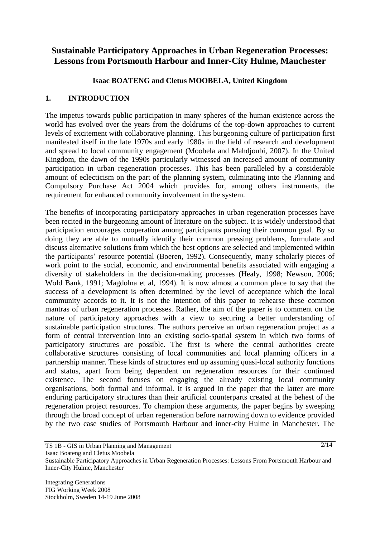# **Sustainable Participatory Approaches in Urban Regeneration Processes: Lessons from Portsmouth Harbour and Inner-City Hulme, Manchester**

## **Isaac BOATENG and Cletus MOOBELA, United Kingdom**

## **1. INTRODUCTION**

The impetus towards public participation in many spheres of the human existence across the world has evolved over the years from the doldrums of the top-down approaches to current levels of excitement with collaborative planning. This burgeoning culture of participation first manifested itself in the late 1970s and early 1980s in the field of research and development and spread to local community engagement (Moobela and Mahdjoubi, 2007). In the United Kingdom, the dawn of the 1990s particularly witnessed an increased amount of community participation in urban regeneration processes. This has been paralleled by a considerable amount of eclecticism on the part of the planning system, culminating into the Planning and Compulsory Purchase Act 2004 which provides for, among others instruments, the requirement for enhanced community involvement in the system.

The benefits of incorporating participatory approaches in urban regeneration processes have been recited in the burgeoning amount of literature on the subject. It is widely understood that participation encourages cooperation among participants pursuing their common goal. By so doing they are able to mutually identify their common pressing problems, formulate and discuss alternative solutions from which the best options are selected and implemented within the participants" resource potential (Boeren, 1992). Consequently, many scholarly pieces of work point to the social, economic, and environmental benefits associated with engaging a diversity of stakeholders in the decision-making processes (Healy, 1998; Newson, 2006; Wold Bank, 1991; Magdolna et al, 1994). It is now almost a common place to say that the success of a development is often determined by the level of acceptance which the local community accords to it. It is not the intention of this paper to rehearse these common mantras of urban regeneration processes. Rather, the aim of the paper is to comment on the nature of participatory approaches with a view to securing a better understanding of sustainable participation structures. The authors perceive an urban regeneration project as a form of central intervention into an existing socio-spatial system in which two forms of participatory structures are possible. The first is where the central authorities create collaborative structures consisting of local communities and local planning officers in a partnership manner. These kinds of structures end up assuming quasi-local authority functions and status, apart from being dependent on regeneration resources for their continued existence. The second focuses on engaging the already existing local community organisations, both formal and informal. It is argued in the paper that the latter are more enduring participatory structures than their artificial counterparts created at the behest of the regeneration project resources. To champion these arguments, the paper begins by sweeping through the broad concept of urban regeneration before narrowing down to evidence provided by the two case studies of Portsmouth Harbour and inner-city Hulme in Manchester. The

TS 1B - GIS in Urban Planning and Management Isaac Boateng and Cletus Moobela

 $2/14$ 

Sustainable Participatory Approaches in Urban Regeneration Processes: Lessons From Portsmouth Harbour and Inner-City Hulme, Manchester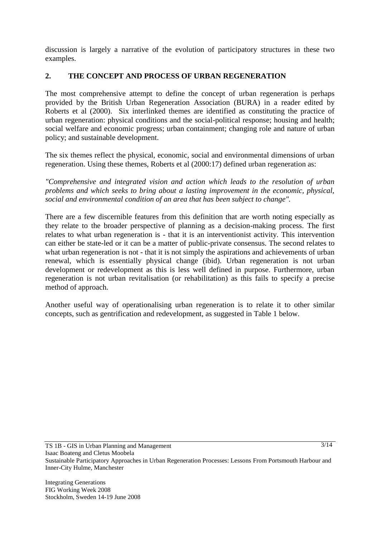discussion is largely a narrative of the evolution of participatory structures in these two examples.

## **2. THE CONCEPT AND PROCESS OF URBAN REGENERATION**

The most comprehensive attempt to define the concept of urban regeneration is perhaps provided by the British Urban Regeneration Association (BURA) in a reader edited by Roberts et al (2000). Six interlinked themes are identified as constituting the practice of urban regeneration: physical conditions and the social-political response; housing and health; social welfare and economic progress; urban containment; changing role and nature of urban policy; and sustainable development.

The six themes reflect the physical, economic, social and environmental dimensions of urban regeneration. Using these themes, Roberts et al (2000:17) defined urban regeneration as:

*"Comprehensive and integrated vision and action which leads to the resolution of urban problems and which seeks to bring about a lasting improvement in the economic, physical, social and environmental condition of an area that has been subject to change".*

There are a few discernible features from this definition that are worth noting especially as they relate to the broader perspective of planning as a decision-making process. The first relates to what urban regeneration is - that it is an interventionist activity. This intervention can either be state-led or it can be a matter of public-private consensus. The second relates to what urban regeneration is not - that it is not simply the aspirations and achievements of urban renewal, which is essentially physical change (ibid). Urban regeneration is not urban development or redevelopment as this is less well defined in purpose. Furthermore, urban regeneration is not urban revitalisation (or rehabilitation) as this fails to specify a precise method of approach.

Another useful way of operationalising urban regeneration is to relate it to other similar concepts, such as gentrification and redevelopment, as suggested in Table 1 below.

TS 1B - GIS in Urban Planning and Management Isaac Boateng and Cletus Moobela Sustainable Participatory Approaches in Urban Regeneration Processes: Lessons From Portsmouth Harbour and Inner-City Hulme, Manchester  $3/14$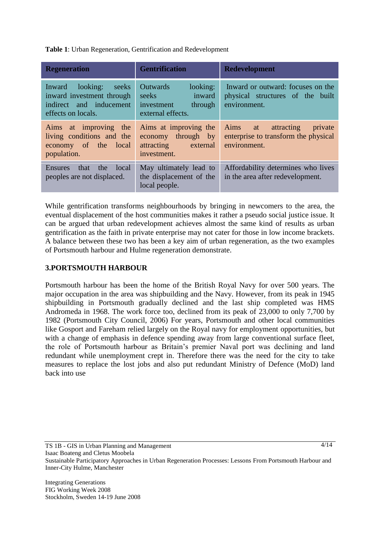**Table 1**: Urban Regeneration, Gentrification and Redevelopment

| <b>Regeneration</b>                                                                                    | <b>Gentrification</b>                                                                        | <b>Redevelopment</b>                                                                                                                                                                                    |
|--------------------------------------------------------------------------------------------------------|----------------------------------------------------------------------------------------------|---------------------------------------------------------------------------------------------------------------------------------------------------------------------------------------------------------|
| Inward looking:<br>seeks<br>inward investment through<br>indirect and inducement<br>effects on locals. | looking:<br><b>Outwards</b><br>inward<br>seeks<br>through<br>investment<br>external effects. | Inward or outward: focuses on the<br>physical structures of the built<br>environment.                                                                                                                   |
| Aims at improving the<br>living conditions and the<br>economy of the local<br>population.              | Aims at improving the<br>through by<br>economy<br>attracting external<br>investment.         | Aims<br>attracting<br>private<br>at at the set of the set of the set of the set of the set of the set of the set of the set of the set of the s<br>enterprise to transform the physical<br>environment. |
| the<br>that<br>local<br><b>Ensures</b><br>peoples are not displaced.                                   | May ultimately lead to<br>the displacement of the<br>local people.                           | Affordability determines who lives<br>in the area after redevelopment.                                                                                                                                  |

While gentrification transforms neighbourhoods by bringing in newcomers to the area, the eventual displacement of the host communities makes it rather a pseudo social justice issue. It can be argued that urban redevelopment achieves almost the same kind of results as urban gentrification as the faith in private enterprise may not cater for those in low income brackets. A balance between these two has been a key aim of urban regeneration, as the two examples of Portsmouth harbour and Hulme regeneration demonstrate.

#### **3.PORTSMOUTH HARBOUR**

Portsmouth harbour has been the home of the British Royal Navy for over 500 years. The major occupation in the area was shipbuilding and the Navy. However, from its peak in 1945 shipbuilding in Portsmouth gradually declined and the last ship completed was HMS Andromeda in 1968. The work force too, declined from its peak of 23,000 to only 7,700 by 1982 (Portsmouth City Council, 2006) For years, Portsmouth and other local communities like Gosport and Fareham relied largely on the Royal navy for employment opportunities, but with a change of emphasis in defence spending away from large conventional surface fleet, the role of Portsmouth harbour as Britain"s premier Naval port was declining and land redundant while unemployment crept in. Therefore there was the need for the city to take measures to replace the lost jobs and also put redundant Ministry of Defence (MoD) land back into use

TS 1B - GIS in Urban Planning and Management Isaac Boateng and Cletus Moobela Sustainable Participatory Approaches in Urban Regeneration Processes: Lessons From Portsmouth Harbour and Inner-City Hulme, Manchester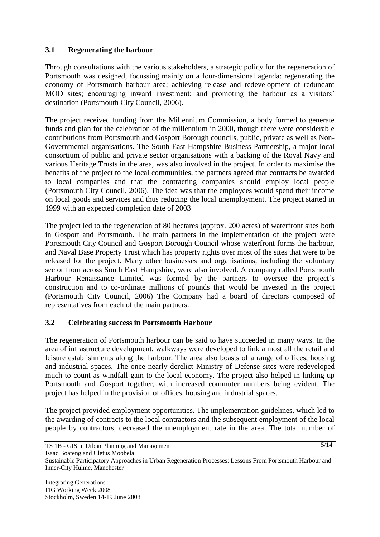## **3.1 Regenerating the harbour**

Through consultations with the various stakeholders, a strategic policy for the regeneration of Portsmouth was designed, focussing mainly on a four-dimensional agenda: regenerating the economy of Portsmouth harbour area; achieving release and redevelopment of redundant MOD sites; encouraging inward investment; and promoting the harbour as a visitors' destination (Portsmouth City Council, 2006).

The project received funding from the Millennium Commission, a body formed to generate funds and plan for the celebration of the millennium in 2000, though there were considerable contributions from Portsmouth and Gosport Borough councils, public, private as well as Non-Governmental organisations. The South East Hampshire Business Partnership, a major local consortium of public and private sector organisations with a backing of the Royal Navy and various Heritage Trusts in the area, was also involved in the project. In order to maximise the benefits of the project to the local communities, the partners agreed that contracts be awarded to local companies and that the contracting companies should employ local people (Portsmouth City Council, 2006). The idea was that the employees would spend their income on local goods and services and thus reducing the local unemployment. The project started in 1999 with an expected completion date of 2003

The project led to the regeneration of 80 hectares (approx. 200 acres) of waterfront sites both in Gosport and Portsmouth. The main partners in the implementation of the project were Portsmouth City Council and Gosport Borough Council whose waterfront forms the harbour, and Naval Base Property Trust which has property rights over most of the sites that were to be released for the project. Many other businesses and organisations, including the voluntary sector from across South East Hampshire, were also involved. A company called Portsmouth Harbour Renaissance Limited was formed by the partners to oversee the project's construction and to co-ordinate millions of pounds that would be invested in the project (Portsmouth City Council, 2006) The Company had a board of directors composed of representatives from each of the main partners.

### **3.2 Celebrating success in Portsmouth Harbour**

The regeneration of Portsmouth harbour can be said to have succeeded in many ways. In the area of infrastructure development, walkways were developed to link almost all the retail and leisure establishments along the harbour. The area also boasts of a range of offices, housing and industrial spaces. The once nearly derelict Ministry of Defense sites were redeveloped much to count as windfall gain to the local economy. The project also helped in linking up Portsmouth and Gosport together, with increased commuter numbers being evident. The project has helped in the provision of offices, housing and industrial spaces.

The project provided employment opportunities. The implementation guidelines, which led to the awarding of contracts to the local contractors and the subsequent employment of the local people by contractors, decreased the unemployment rate in the area. The total number of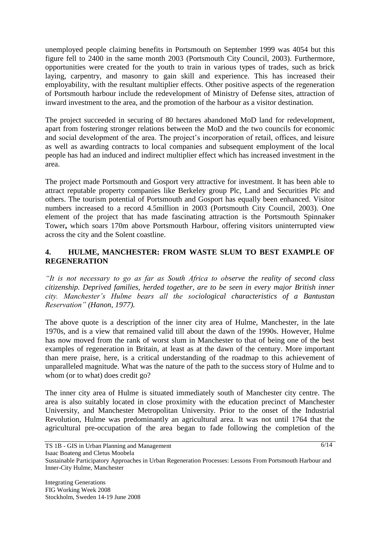unemployed people claiming benefits in Portsmouth on September 1999 was 4054 but this figure fell to 2400 in the same month 2003 (Portsmouth City Council, 2003). Furthermore, opportunities were created for the youth to train in various types of trades, such as brick laying, carpentry, and masonry to gain skill and experience. This has increased their employability, with the resultant multiplier effects. Other positive aspects of the regeneration of Portsmouth harbour include the redevelopment of Ministry of Defense sites, attraction of inward investment to the area, and the promotion of the harbour as a visitor destination.

The project succeeded in securing of 80 hectares abandoned MoD land for redevelopment, apart from fostering stronger relations between the MoD and the two councils for economic and social development of the area. The project's incorporation of retail, offices, and leisure as well as awarding contracts to local companies and subsequent employment of the local people has had an induced and indirect multiplier effect which has increased investment in the area.

The project made Portsmouth and Gosport very attractive for investment. It has been able to attract reputable property companies like Berkeley group Plc, Land and Securities Plc and others. The tourism potential of Portsmouth and Gosport has equally been enhanced. Visitor numbers increased to a record 4.5million in 2003 (Portsmouth City Council, 2003). One element of the project that has made fascinating attraction is the Portsmouth Spinnaker Tower**,** which soars 170m above Portsmouth Harbour, offering visitors uninterrupted view across the city and the Solent coastline.

## **4. HULME, MANCHESTER: FROM WASTE SLUM TO BEST EXAMPLE OF REGENERATION**

*"It is not necessary to go as far as South Africa to observe the reality of second class citizenship. Deprived families, herded together, are to be seen in every major British inner city. Manchester's Hulme bears all the sociological characteristics of a Bantustan Reservation" (Hanon, 1977).*

The above quote is a description of the inner city area of Hulme, Manchester, in the late 1970s, and is a view that remained valid till about the dawn of the 1990s. However, Hulme has now moved from the rank of worst slum in Manchester to that of being one of the best examples of regeneration in Britain, at least as at the dawn of the century. More important than mere praise, here, is a critical understanding of the roadmap to this achievement of unparalleled magnitude. What was the nature of the path to the success story of Hulme and to whom (or to what) does credit go?

The inner city area of Hulme is situated immediately south of Manchester city centre. The area is also suitably located in close proximity with the education precinct of Manchester University, and Manchester Metropolitan University. Prior to the onset of the Industrial Revolution, Hulme was predominantly an agricultural area. It was not until 1764 that the agricultural pre-occupation of the area began to fade following the completion of the

Isaac Boateng and Cletus Moobela

Sustainable Participatory Approaches in Urban Regeneration Processes: Lessons From Portsmouth Harbour and Inner-City Hulme, Manchester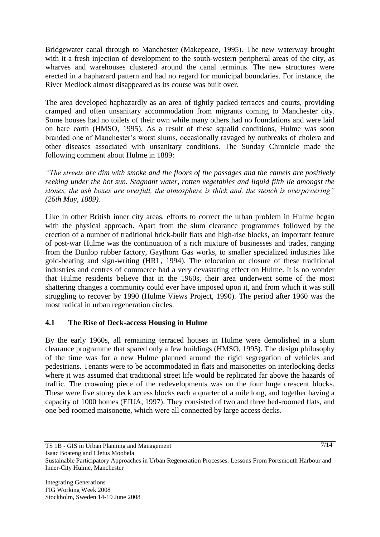Bridgewater canal through to Manchester (Makepeace, 1995). The new waterway brought with it a fresh injection of development to the south-western peripheral areas of the city, as wharves and warehouses clustered around the canal terminus. The new structures were erected in a haphazard pattern and had no regard for municipal boundaries. For instance, the River Medlock almost disappeared as its course was built over.

The area developed haphazardly as an area of tightly packed terraces and courts, providing cramped and often unsanitary accommodation from migrants coming to Manchester city. Some houses had no toilets of their own while many others had no foundations and were laid on bare earth (HMSO, 1995). As a result of these squalid conditions, Hulme was soon branded one of Manchester"s worst slums, occasionally ravaged by outbreaks of cholera and other diseases associated with unsanitary conditions. The Sunday Chronicle made the following comment about Hulme in 1889:

*"The streets are dim with smoke and the floors of the passages and the camels are positively reeking under the hot sun. Stagnant water, rotten vegetables and liquid filth lie amongst the stones, the ash boxes are overfull, the atmosphere is thick and, the stench is overpowering" (26th May, 1889).*

Like in other British inner city areas, efforts to correct the urban problem in Hulme began with the physical approach. Apart from the slum clearance programmes followed by the erection of a number of traditional brick-built flats and high-rise blocks, an important feature of post-war Hulme was the continuation of a rich mixture of businesses and trades, ranging from the Dunlop rubber factory, Gaythorn Gas works, to smaller specialized industries like gold-beating and sign-writing (HRL, 1994). The relocation or closure of these traditional industries and centres of commerce had a very devastating effect on Hulme. It is no wonder that Hulme residents believe that in the 1960s, their area underwent some of the most shattering changes a community could ever have imposed upon it, and from which it was still struggling to recover by 1990 (Hulme Views Project, 1990). The period after 1960 was the most radical in urban regeneration circles.

### **4.1 The Rise of Deck-access Housing in Hulme**

By the early 1960s, all remaining terraced houses in Hulme were demolished in a slum clearance programme that spared only a few buildings (HMSO, 1995). The design philosophy of the time was for a new Hulme planned around the rigid segregation of vehicles and pedestrians. Tenants were to be accommodated in flats and maisonettes on interlocking decks where it was assumed that traditional street life would be replicated far above the hazards of traffic. The crowning piece of the redevelopments was on the four huge crescent blocks. These were five storey deck access blocks each a quarter of a mile long, and together having a capacity of 1000 homes (EIUA, 1997). They consisted of two and three bed-roomed flats, and one bed-roomed maisonette, which were all connected by large access decks.

Isaac Boateng and Cletus Moobela

TS 1B - GIS in Urban Planning and Management

Sustainable Participatory Approaches in Urban Regeneration Processes: Lessons From Portsmouth Harbour and Inner-City Hulme, Manchester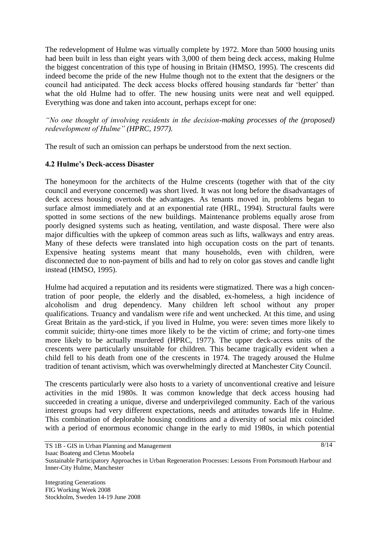The redevelopment of Hulme was virtually complete by 1972. More than 5000 housing units had been built in less than eight years with 3,000 of them being deck access, making Hulme the biggest concentration of this type of housing in Britain (HMSO, 1995). The crescents did indeed become the pride of the new Hulme though not to the extent that the designers or the council had anticipated. The deck access blocks offered housing standards far "better" than what the old Hulme had to offer. The new housing units were neat and well equipped. Everything was done and taken into account, perhaps except for one:

*"No one thought of involving residents in the decision-making processes of the (proposed) redevelopment of Hulme" (HPRC, 1977).*

The result of such an omission can perhaps be understood from the next section.

### **4.2 Hulme's Deck-access Disaster**

The honeymoon for the architects of the Hulme crescents (together with that of the city council and everyone concerned) was short lived. It was not long before the disadvantages of deck access housing overtook the advantages. As tenants moved in, problems began to surface almost immediately and at an exponential rate (HRL, 1994). Structural faults were spotted in some sections of the new buildings. Maintenance problems equally arose from poorly designed systems such as heating, ventilation, and waste disposal. There were also major difficulties with the upkeep of common areas such as lifts, walkways and entry areas. Many of these defects were translated into high occupation costs on the part of tenants. Expensive heating systems meant that many households, even with children, were disconnected due to non-payment of bills and had to rely on color gas stoves and candle light instead (HMSO, 1995).

Hulme had acquired a reputation and its residents were stigmatized. There was a high concentration of poor people, the elderly and the disabled, ex-homeless, a high incidence of alcoholism and drug dependency. Many children left school without any proper qualifications. Truancy and vandalism were rife and went unchecked. At this time, and using Great Britain as the yard-stick, if you lived in Hulme, you were: seven times more likely to commit suicide; thirty-one times more likely to be the victim of crime; and forty-one times more likely to be actually murdered (HPRC, 1977). The upper deck-access units of the crescents were particularly unsuitable for children. This became tragically evident when a child fell to his death from one of the crescents in 1974. The tragedy aroused the Hulme tradition of tenant activism, which was overwhelmingly directed at Manchester City Council.

The crescents particularly were also hosts to a variety of unconventional creative and leisure activities in the mid 1980s. It was common knowledge that deck access housing had succeeded in creating a unique, diverse and underprivileged community. Each of the various interest groups had very different expectations, needs and attitudes towards life in Hulme. This combination of deplorable housing conditions and a diversity of social mix coincided with a period of enormous economic change in the early to mid 1980s, in which potential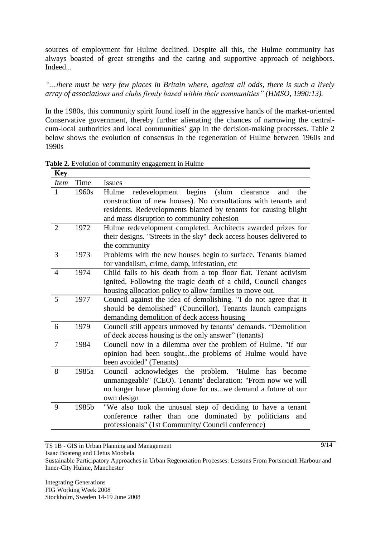sources of employment for Hulme declined. Despite all this, the Hulme community has always boasted of great strengths and the caring and supportive approach of neighbors. Indeed...

*"…there must be very few places in Britain where, against all odds, there is such a lively array of associations and clubs firmly based within their communities" (HMSO, 1990:13).*

In the 1980s, this community spirit found itself in the aggressive hands of the market-oriented Conservative government, thereby further alienating the chances of narrowing the centralcum-local authorities and local communities' gap in the decision-making processes. Table 2 below shows the evolution of consensus in the regeneration of Hulme between 1960s and 1990s

| <b>Key</b>     |       |                                                                                                                                                                                                                                                    |
|----------------|-------|----------------------------------------------------------------------------------------------------------------------------------------------------------------------------------------------------------------------------------------------------|
| <b>Item</b>    | Time  | <b>Issues</b>                                                                                                                                                                                                                                      |
| 1              | 1960s | redevelopment begins<br>(slum<br>Hulme<br>clearance<br>the<br>and<br>construction of new houses). No consultations with tenants and<br>residents. Redevelopments blamed by tenants for causing blight<br>and mass disruption to community cohesion |
| $\overline{2}$ | 1972  | Hulme redevelopment completed. Architects awarded prizes for<br>their designs. "Streets in the sky" deck access houses delivered to<br>the community                                                                                               |
| 3              | 1973  | Problems with the new houses begin to surface. Tenants blamed<br>for vandalism, crime, damp, infestation, etc                                                                                                                                      |
| $\overline{4}$ | 1974  | Child falls to his death from a top floor flat. Tenant activism<br>ignited. Following the tragic death of a child, Council changes<br>housing allocation policy to allow families to move out.                                                     |
| 5              | 1977  | Council against the idea of demolishing. "I do not agree that it<br>should be demolished" (Councillor). Tenants launch campaigns<br>demanding demolition of deck access housing                                                                    |
| 6              | 1979  | Council still appears unmoved by tenants' demands. "Demolition<br>of deck access housing is the only answer" (tenants)                                                                                                                             |
| 7              | 1984  | Council now in a dilemma over the problem of Hulme. "If our<br>opinion had been soughtthe problems of Hulme would have<br>been avoided" (Tenants)                                                                                                  |
| 8              | 1985a | Council acknowledges the problem. "Hulme has<br>become<br>unmanageable" (CEO). Tenants' declaration: "From now we will<br>no longer have planning done for uswe demand a future of our<br>own design                                               |
| 9              | 1985b | "We also took the unusual step of deciding to have a tenant<br>conference rather than one dominated by politicians<br>and<br>professionals" (1st Community/ Council conference)                                                                    |

**Table 2.** Evolution of community engagement in Hulme

TS 1B - GIS in Urban Planning and Management

Isaac Boateng and Cletus Moobela

Sustainable Participatory Approaches in Urban Regeneration Processes: Lessons From Portsmouth Harbour and Inner-City Hulme, Manchester

Integrating Generations FIG Working Week 2008 Stockholm, Sweden 14-19 June 2008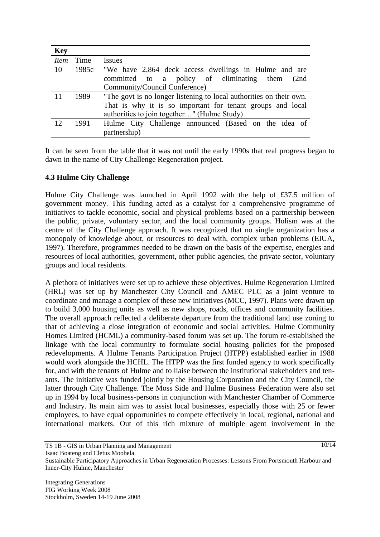| <b>Key</b> |      |                                                                     |  |  |
|------------|------|---------------------------------------------------------------------|--|--|
| Item       | Time | <i>Issues</i>                                                       |  |  |
| 10         |      | 1985c "We have 2,864 deck access dwellings in Hulme and are         |  |  |
|            |      | committed to a policy of eliminating them<br>(2nd)                  |  |  |
|            |      | Community/Council Conference)                                       |  |  |
| 11         | 1989 | "The govt is no longer listening to local authorities on their own. |  |  |
|            |      | That is why it is so important for tenant groups and local          |  |  |
|            |      | authorities to join together" (Hulme Study)                         |  |  |
| 12         | 1991 | Hulme City Challenge announced (Based on the idea of                |  |  |
|            |      | partnership)                                                        |  |  |

It can be seen from the table that it was not until the early 1990s that real progress began to dawn in the name of City Challenge Regeneration project.

### **4.3 Hulme City Challenge**

Hulme City Challenge was launched in April 1992 with the help of £37.5 million of government money. This funding acted as a catalyst for a comprehensive programme of initiatives to tackle economic, social and physical problems based on a partnership between the public, private, voluntary sector, and the local community groups. Holism was at the centre of the City Challenge approach. It was recognized that no single organization has a monopoly of knowledge about, or resources to deal with, complex urban problems (EIUA, 1997). Therefore, programmes needed to be drawn on the basis of the expertise, energies and resources of local authorities, government, other public agencies, the private sector, voluntary groups and local residents.

A plethora of initiatives were set up to achieve these objectives. Hulme Regeneration Limited (HRL) was set up by Manchester City Council and AMEC PLC as a joint venture to coordinate and manage a complex of these new initiatives (MCC, 1997). Plans were drawn up to build 3,000 housing units as well as new shops, roads, offices and community facilities. The overall approach reflected a deliberate departure from the traditional land use zoning to that of achieving a close integration of economic and social activities. Hulme Community Homes Limited (HCML) a community-based forum was set up. The forum re-established the linkage with the local community to formulate social housing policies for the proposed redevelopments. A Hulme Tenants Participation Project (HTPP) established earlier in 1988 would work alongside the HCHL. The HTPP was the first funded agency to work specifically for, and with the tenants of Hulme and to liaise between the institutional stakeholders and tenants. The initiative was funded jointly by the Housing Corporation and the City Council, the latter through City Challenge. The Moss Side and Hulme Business Federation were also set up in 1994 by local business-persons in conjunction with Manchester Chamber of Commerce and Industry. Its main aim was to assist local businesses, especially those with 25 or fewer employees, to have equal opportunities to compete effectively in local, regional, national and international markets. Out of this rich mixture of multiple agent involvement in the

TS 1B - GIS in Urban Planning and Management Isaac Boateng and Cletus Moobela Sustainable Participatory Approaches in Urban Regeneration Processes: Lessons From Portsmouth Harbour and Inner-City Hulme, Manchester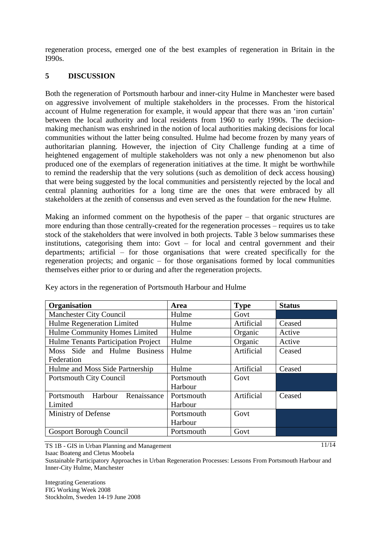regeneration process, emerged one of the best examples of regeneration in Britain in the I990s.

## **5 DISCUSSION**

Both the regeneration of Portsmouth harbour and inner-city Hulme in Manchester were based on aggressive involvement of multiple stakeholders in the processes. From the historical account of Hulme regeneration for example, it would appear that there was an "iron curtain" between the local authority and local residents from 1960 to early 1990s. The decisionmaking mechanism was enshrined in the notion of local authorities making decisions for local communities without the latter being consulted. Hulme had become frozen by many years of authoritarian planning. However, the injection of City Challenge funding at a time of heightened engagement of multiple stakeholders was not only a new phenomenon but also produced one of the exemplars of regeneration initiatives at the time. It might be worthwhile to remind the readership that the very solutions (such as demolition of deck access housing) that were being suggested by the local communities and persistently rejected by the local and central planning authorities for a long time are the ones that were embraced by all stakeholders at the zenith of consensus and even served as the foundation for the new Hulme.

Making an informed comment on the hypothesis of the paper – that organic structures are more enduring than those centrally-created for the regeneration processes – requires us to take stock of the stakeholders that were involved in both projects. Table 3 below summarises these institutions, categorising them into: Govt – for local and central government and their departments; artificial – for those organisations that were created specifically for the regeneration projects; and organic – for those organisations formed by local communities themselves either prior to or during and after the regeneration projects.

| Organisation                         | Area       | <b>Type</b> | <b>Status</b> |
|--------------------------------------|------------|-------------|---------------|
| Manchester City Council              | Hulme      | Govt        |               |
| Hulme Regeneration Limited           | Hulme      | Artificial  | Ceased        |
| Hulme Community Homes Limited        | Hulme      | Organic     | Active        |
| Hulme Tenants Participation Project  | Hulme      | Organic     | Active        |
| Moss Side and Hulme Business         | Hulme      | Artificial  | Ceased        |
| Federation                           |            |             |               |
| Hulme and Moss Side Partnership      | Hulme      | Artificial  | Ceased        |
| <b>Portsmouth City Council</b>       | Portsmouth | Govt        |               |
|                                      | Harbour    |             |               |
| Renaissance<br>Portsmouth<br>Harbour | Portsmouth | Artificial  | Ceased        |
| Limited                              | Harbour    |             |               |
| Ministry of Defense                  | Portsmouth | Govt        |               |
|                                      | Harbour    |             |               |
| <b>Gosport Borough Council</b>       | Portsmouth | Govt        |               |

Key actors in the regeneration of Portsmouth Harbour and Hulme

TS 1B - GIS in Urban Planning and Management

Isaac Boateng and Cletus Moobela

Sustainable Participatory Approaches in Urban Regeneration Processes: Lessons From Portsmouth Harbour and Inner-City Hulme, Manchester

Integrating Generations FIG Working Week 2008 Stockholm, Sweden 14-19 June 2008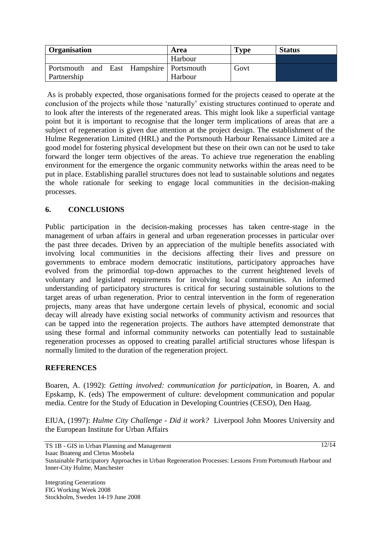| <b>Organisation</b>                      |  |  | Area    | $\mathbf{Type}$ | <b>Status</b> |
|------------------------------------------|--|--|---------|-----------------|---------------|
|                                          |  |  | Harbour |                 |               |
| Portsmouth and East Hampshire Portsmouth |  |  |         | Govt            |               |
| Partnership                              |  |  | Harbour |                 |               |

As is probably expected, those organisations formed for the projects ceased to operate at the conclusion of the projects while those "naturally" existing structures continued to operate and to look after the interests of the regenerated areas. This might look like a superficial vantage point but it is important to recognise that the longer term implications of areas that are a subject of regeneration is given due attention at the project design. The establishment of the Hulme Regeneration Limited (HRL) and the Portsmouth Harbour Renaissance Limited are a good model for fostering physical development but these on their own can not be used to take forward the longer term objectives of the areas. To achieve true regeneration the enabling environment for the emergence the organic community networks within the areas need to be put in place. Establishing parallel structures does not lead to sustainable solutions and negates the whole rationale for seeking to engage local communities in the decision-making processes.

## **6. CONCLUSIONS**

Public participation in the decision-making processes has taken centre-stage in the management of urban affairs in general and urban regeneration processes in particular over the past three decades. Driven by an appreciation of the multiple benefits associated with involving local communities in the decisions affecting their lives and pressure on governments to embrace modern democratic institutions, participatory approaches have evolved from the primordial top-down approaches to the current heightened levels of voluntary and legislated requirements for involving local communities. An informed understanding of participatory structures is critical for securing sustainable solutions to the target areas of urban regeneration. Prior to central intervention in the form of regeneration projects, many areas that have undergone certain levels of physical, economic and social decay will already have existing social networks of community activism and resources that can be tapped into the regeneration projects. The authors have attempted demonstrate that using these formal and informal community networks can potentially lead to sustainable regeneration processes as opposed to creating parallel artificial structures whose lifespan is normally limited to the duration of the regeneration project.

### **REFERENCES**

Boaren, A. (1992): *Getting involved: communication for participation*, in Boaren, A. and Epskamp, K. (eds) The empowerment of culture: development communication and popular media. Centre for the Study of Education in Developing Countries (CESO), Den Haag.

EIUA, (1997): *Hulme City Challenge - Did it work?* Liverpool John Moores University and the European Institute for Urban Affairs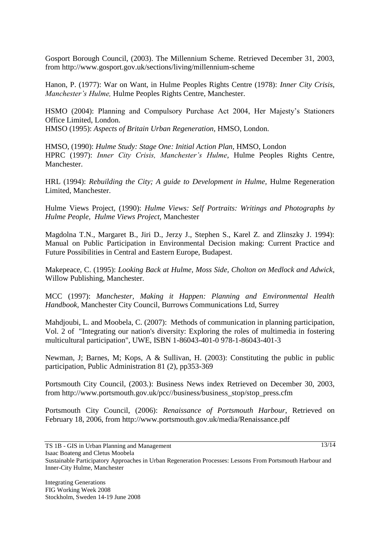Gosport Borough Council, (2003). The Millennium Scheme. Retrieved December 31, 2003, from http://www.gosport.gov.uk/sections/living/millennium-scheme

Hanon, P. (1977): War on Want, in Hulme Peoples Rights Centre (1978): *Inner City Crisis, Manchester's Hulme,* Hulme Peoples Rights Centre, Manchester.

HSMO (2004): Planning and Compulsory Purchase Act 2004, Her Majesty's Stationers Office Limited, London. HMSO (1995): *Aspects of Britain Urban Regeneration,* HMSO, London.

HMSO, (1990): *Hulme Study: Stage One: Initial Action Plan,* HMSO, London HPRC (1997): *Inner City Crisis, Manchester's Hulme*, Hulme Peoples Rights Centre, Manchester.

HRL (1994): *Rebuilding the City; A guide to Development in Hulme,* Hulme Regeneration Limited, Manchester.

Hulme Views Project, (1990): *Hulme Views: Self Portraits: Writings and Photographs by Hulme People, Hulme Views Project,* Manchester

Magdolna T.N., Margaret B., Jiri D., Jerzy J., Stephen S., Karel Z. and Zlinszky J. 1994): Manual on Public Participation in Environmental Decision making: Current Practice and Future Possibilities in Central and Eastern Europe, Budapest.

Makepeace, C. (1995): *Looking Back at Hulme, Moss Side, Cholton on Medlock and Adwick*, Willow Publishing, Manchester.

MCC (1997): *Manchester, Making it Happen: Planning and Environmental Health Handbook,* Manchester City Council, Burrows Communications Ltd, Surrey

Mahdjoubi, L. and Moobela, C. (2007): Methods of communication in planning participation, Vol. 2 of "Integrating our nation's diversity: Exploring the roles of multimedia in fostering multicultural participation", UWE, ISBN 1-86043-401-0 978-1-86043-401-3

Newman, J; Barnes, M; Kops, A & Sullivan, H. (2003): Constituting the public in public participation, Public Administration 81 (2), pp353-369

Portsmouth City Council, (2003.): Business News index Retrieved on December 30, 2003, from http://www.portsmouth.gov.uk/pcc//business/business\_stop/stop\_press.cfm

Portsmouth City Council, (2006): *Renaissance of Portsmouth Harbour*, Retrieved on February 18, 2006, from http://www.portsmouth.gov.uk/media/Renaissance.pdf

Isaac Boateng and Cletus Moobela

TS 1B - GIS in Urban Planning and Management

Sustainable Participatory Approaches in Urban Regeneration Processes: Lessons From Portsmouth Harbour and Inner-City Hulme, Manchester